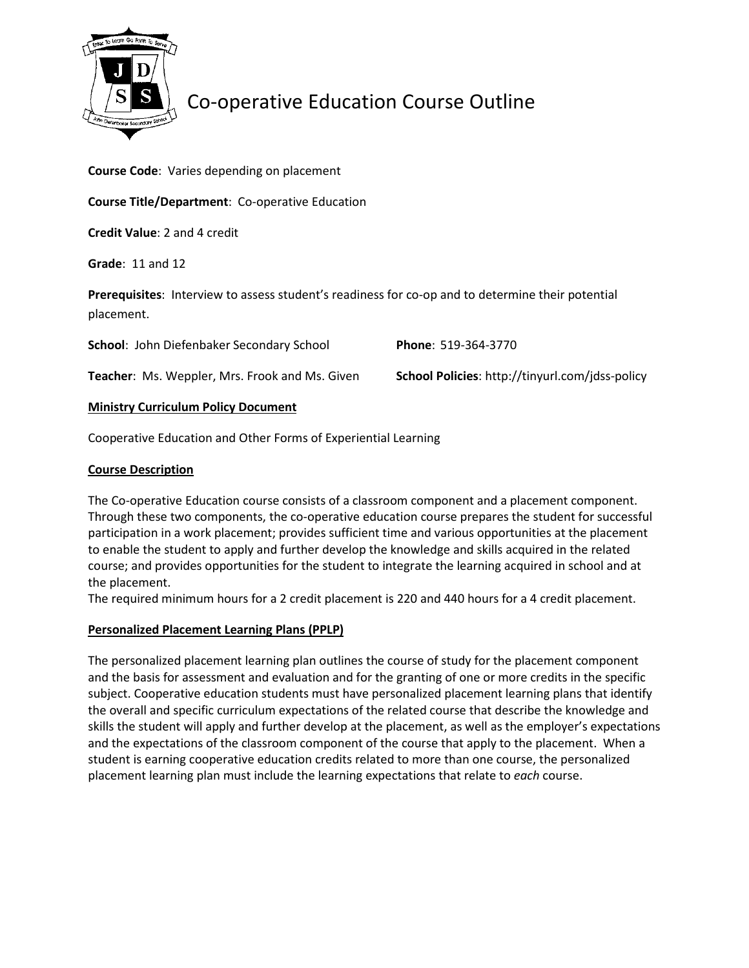

# Co-operative Education Course Outline

Course Code: Varies depending on placement

Course Title/Department: Co-operative Education

Credit Value: 2 and 4 credit

Grade: 11 and 12

Prerequisites: Interview to assess student's readiness for co-op and to determine their potential placement.

| School: John Diefenbaker Secondary School             | <b>Phone: 519-364-3770</b>                             |
|-------------------------------------------------------|--------------------------------------------------------|
| <b>Teacher:</b> Ms. Weppler, Mrs. Frook and Ms. Given | <b>School Policies: http://tinyurl.com/jdss-policy</b> |

### Ministry Curriculum Policy Document

Cooperative Education and Other Forms of Experiential Learning

### Course Description

The Co-operative Education course consists of a classroom component and a placement component. Through these two components, the co-operative education course prepares the student for successful participation in a work placement; provides sufficient time and various opportunities at the placement to enable the student to apply and further develop the knowledge and skills acquired in the related course; and provides opportunities for the student to integrate the learning acquired in school and at the placement.

The required minimum hours for a 2 credit placement is 220 and 440 hours for a 4 credit placement.

### Personalized Placement Learning Plans (PPLP)

The personalized placement learning plan outlines the course of study for the placement component and the basis for assessment and evaluation and for the granting of one or more credits in the specific subject. Cooperative education students must have personalized placement learning plans that identify the overall and specific curriculum expectations of the related course that describe the knowledge and skills the student will apply and further develop at the placement, as well as the employer's expectations and the expectations of the classroom component of the course that apply to the placement. When a student is earning cooperative education credits related to more than one course, the personalized placement learning plan must include the learning expectations that relate to each course.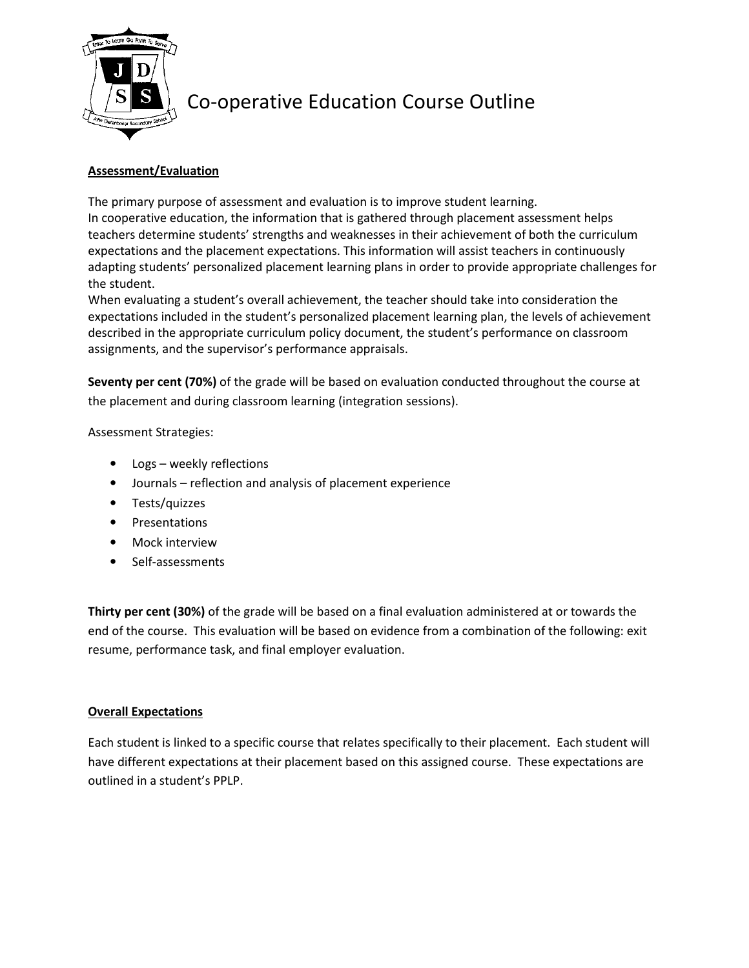

# Co-operative Education Course Outline

## Assessment/Evaluation

The primary purpose of assessment and evaluation is to improve student learning. In cooperative education, the information that is gathered through placement assessment helps teachers determine students' strengths and weaknesses in their achievement of both the curriculum expectations and the placement expectations. This information will assist teachers in continuously adapting students' personalized placement learning plans in order to provide appropriate challenges for the student.

When evaluating a student's overall achievement, the teacher should take into consideration the expectations included in the student's personalized placement learning plan, the levels of achievement described in the appropriate curriculum policy document, the student's performance on classroom assignments, and the supervisor's performance appraisals.

Seventy per cent (70%) of the grade will be based on evaluation conducted throughout the course at the placement and during classroom learning (integration sessions).

### Assessment Strategies:

- Logs weekly reflections
- Journals reflection and analysis of placement experience
- Tests/quizzes
- Presentations
- Mock interview
- Self-assessments

Thirty per cent (30%) of the grade will be based on a final evaluation administered at or towards the end of the course. This evaluation will be based on evidence from a combination of the following: exit resume, performance task, and final employer evaluation.

### Overall Expectations

Each student is linked to a specific course that relates specifically to their placement. Each student will have different expectations at their placement based on this assigned course. These expectations are outlined in a student's PPLP.